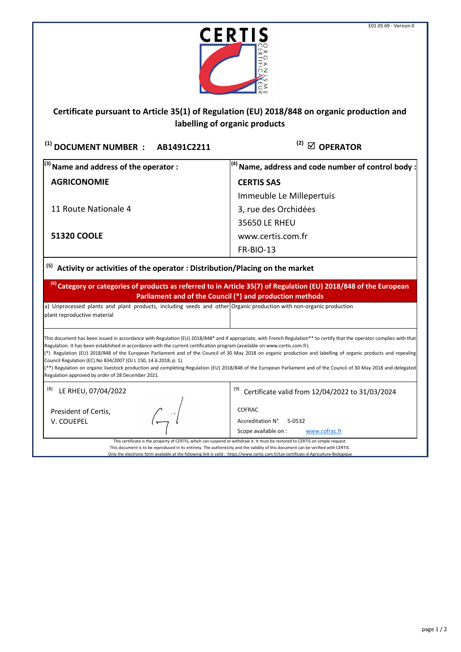

## **Certificate pursuant to Article 35(1) of Regulation (EU) 2018/848 on organic production and labelling of organic products**

<sup>(1)</sup> DOCUMENT NUMBER : AB1491C2211 <sup>(2)</sup> ⊠ OPERATOR

**(2)**

| $^{(3)}$ Name and address of the operator : | $\vert^{(4)}$ Name, address and code number of control body : |
|---------------------------------------------|---------------------------------------------------------------|
| <b>AGRICONOMIE</b>                          | <b>CERTIS SAS</b>                                             |
|                                             | Immeuble Le Millepertuis                                      |
| 11 Route Nationale 4                        | 3, rue des Orchidées                                          |
|                                             | 35650 LE RHEU                                                 |
| <b>51320 COOLE</b>                          | www.certis.com.fr                                             |
|                                             | <b>FR-BIO-13</b>                                              |

**Activity or activities of the operator : Distribution/Placing on the market (5)**

**(6) Category or categories of products as referred to in Article 35(7) of Regulation (EU) 2018/848 of the European Parliament and of the Council (\*) and production methods**

a) Unprocessed plants and plant products, including seeds and other Organic production with non-organic production plant reproductive material

This document has been issued in accordance with Regulation (EU) 2018/848\* and if appropriate, with French Regulation\*\* to certify that the operator complies with that Regulation. It has been established in accordance with the current certification program (available on www.certis.com.fr).

(\*) Regulation (EU) 2018/848 of the European Parliament and of the Council of 30 May 2018 on organic production and labelling of organic products and repealing Council Regulation (EC) No 834/2007 (OJ L 150, 14.6.2018, p. 1).

(\*\*) Regulation on organic livestock production and completing Regulation (EU) 2018/848 of the European Parliament and of the Council of 30 May 2018 and delegated Regulation approved by order of 28 December 2021.

 $(8)$  LE RHEU, 07/04/2022

President of Certis, V. COUEPEL

 $^{(9)}$  Certificate valid from 12/04/2022 to 31/03/2024

COFRAC

Accreditation N° 5-0532 Scope available on : [www.cofrac.fr](http://www.cofrac.fr/)

This certificate is the property of CERTIS, which can suspend or withdraw it. It must be restored to CERTIS on simple request. This document is to be reproduced in its entirety. The authenticity and the validity of this document can be verified with CERTIS.

Only the electronic form available at the following link is valid : https://www.certis.com.fr/Les-certificats-d-Agriculture-Biologique